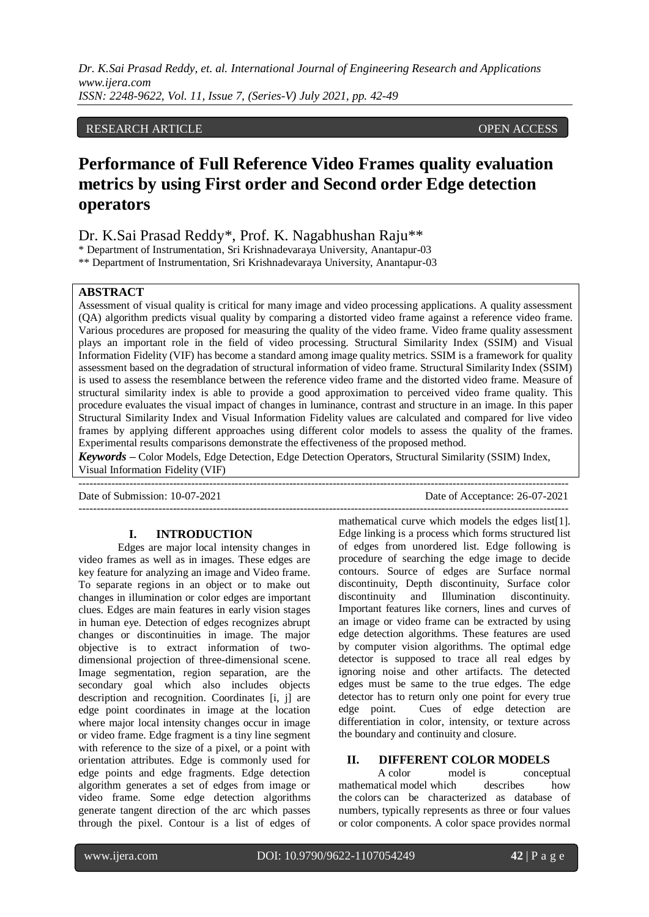### RESEARCH ARTICLE **CONSERVERS** OPEN ACCESS

# **Performance of Full Reference Video Frames quality evaluation metrics by using First order and Second order Edge detection operators**

Dr. K.Sai Prasad Reddy\*, Prof. K. Nagabhushan Raju\*\*

\* Department of Instrumentation, Sri Krishnadevaraya University, Anantapur-03

\*\* Department of Instrumentation, Sri Krishnadevaraya University, Anantapur-03

### **ABSTRACT**

Assessment of visual quality is critical for many image and video processing applications. A quality assessment (QA) algorithm predicts visual quality by comparing a distorted video frame against a reference video frame. Various procedures are proposed for measuring the quality of the video frame. Video frame quality assessment plays an important role in the field of video processing. Structural Similarity Index (SSIM) and Visual Information Fidelity (VIF) has become a standard among image quality metrics. SSIM is a framework for quality assessment based on the degradation of structural information of video frame. Structural Similarity Index (SSIM) is used to assess the resemblance between the reference video frame and the distorted video frame. Measure of structural similarity index is able to provide a good approximation to perceived video frame quality. This procedure evaluates the visual impact of changes in luminance, contrast and structure in an image. In this paper Structural Similarity Index and Visual Information Fidelity values are calculated and compared for live video frames by applying different approaches using different color models to assess the quality of the frames. Experimental results comparisons demonstrate the effectiveness of the proposed method.

*Keywords* **–** Color Models, Edge Detection, Edge Detection Operators, Structural Similarity (SSIM) Index, Visual Information Fidelity (VIF)

---------------------------------------------------------------------------------------------------------------------------------------

---------------------------------------------------------------------------------------------------------------------------------------

Date of Submission: 10-07-2021 Date of Acceptance: 26-07-2021

### **I. INTRODUCTION**

Edges are major local intensity changes in video frames as well as in images. These edges are key feature for analyzing an image and Video frame. To separate regions in an object or to make out changes in illumination or color edges are important clues. Edges are main features in early vision stages in human eye. Detection of edges recognizes abrupt changes or discontinuities in image. The major objective is to extract information of twodimensional projection of three-dimensional scene. Image segmentation, region separation, are the secondary goal which also includes objects description and recognition. Coordinates [i, j] are edge point coordinates in image at the location where major local intensity changes occur in image or video frame. Edge fragment is a tiny line segment with reference to the size of a pixel, or a point with orientation attributes. Edge is commonly used for edge points and edge fragments. Edge detection algorithm generates a set of edges from image or video frame. Some edge detection algorithms generate tangent direction of the arc which passes through the pixel. Contour is a list of edges of

mathematical curve which models the edges list[1]. Edge linking is a process which forms structured list of edges from unordered list. Edge following is procedure of searching the edge image to decide contours. Source of edges are Surface normal discontinuity, Depth discontinuity, Surface color discontinuity and Illumination discontinuity. Important features like corners, lines and curves of an image or video frame can be extracted by using edge detection algorithms. These features are used by computer vision algorithms. The optimal edge detector is supposed to trace all real edges by ignoring noise and other artifacts. The detected edges must be same to the true edges. The edge detector has to return only one point for every true edge point. Cues of edge detection are differentiation in color, intensity, or texture across the boundary and continuity and closure.

### **II. DIFFERENT COLOR MODELS**

A color model is conceptual mathematical model which describes how the colors can be characterized as database of numbers, typically represents as three or four values or color components. A color space provides normal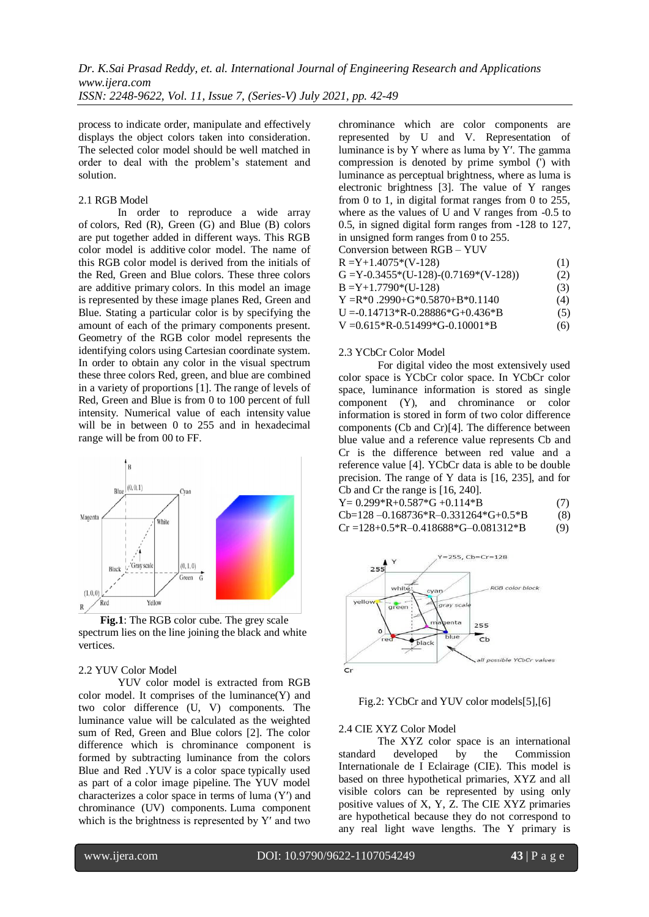process to indicate order, manipulate and effectively displays the object colors taken into consideration. The selected color model should be well matched in order to deal with the problem's statement and solution.

### 2.1 RGB Model

In order to reproduce a wide array of colors, Red (R), Green (G) and Blue (B) colors are put together added in different ways. This RGB color model is additive color model. The name of this RGB color model is derived from the initials of the Red, Green and Blue colors. These three colors are additive primary colors. In this model an image is represented by these image planes Red, Green and Blue. Stating a particular color is by specifying the amount of each of the primary components present. Geometry of the RGB color model represents the identifying colors using Cartesian coordinate system. In order to obtain any color in the visual spectrum these three colors Red, green, and blue are combined in a variety of proportions [1]. The range of levels of Red, Green and Blue is from 0 to 100 percent of full intensity. Numerical value of each intensity value will be in between 0 to 255 and in hexadecimal range will be from 00 to FF.



**Fig.1**: The RGB color cube. The grey scale spectrum lies on the line joining the black and white vertices.

#### 2.2 YUV Color Model

YUV color model is extracted from RGB color model. It comprises of the luminance(Y) and two color difference (U, V) components. The luminance value will be calculated as the weighted sum of Red, Green and Blue colors [2]. The color difference which is chrominance component is formed by subtracting luminance from the colors Blue and Red .YUV is a color space typically used as part of a color image pipeline. The YUV model characterizes a color space in terms of luma (Y′) and chrominance (UV) components. Luma component which is the brightness is represented by Y′ and two

chrominance which are color components are represented by U and V. Representation of luminance is by Y where as luma by Y′. The gamma compression is denoted by prime symbol (') with luminance as perceptual brightness, where as luma is electronic brightness [3]. The value of Y ranges from 0 to 1, in digital format ranges from 0 to 255, where as the values of U and V ranges from -0.5 to 0.5, in signed digital form ranges from -128 to 127, in unsigned form ranges from 0 to 255.<br>Conversion between  $PCB$ ,  $VIN$ cu between

| CONVERSION DEUWEEN $KUB - IUV$              |     |
|---------------------------------------------|-----|
| $R = Y+1.4075*(V-128)$                      | (1) |
| $G = Y - 0.3455*(U-128) - (0.7169*(V-128))$ | (2) |
| $B = Y + 1.7790*(U-128)$                    | (3) |
| $Y = R*0$ , 2990+ $G*0.5870+B*0.1140$       | (4) |
| $U = -0.14713*R - 0.28886*G + 0.436*B$      | (5) |
| V = $0.615*$ R- $0.51499*$ G- $0.10001*$ B  | (6) |

#### 2.3 YCbCr Color Model

For digital video the most extensively used color space is YCbCr color space. In YCbCr color space, luminance information is stored as single component (Y), and chrominance or color information is stored in form of two color difference components (Cb and Cr)[4]. The difference between blue value and a reference value represents Cb and Cr is the difference between red value and a reference value [4]. YCbCr data is able to be double precision. The range of Y data is [16, 235], and for Cb and Cr the range is [16, 240].

| $Y = 0.299 * R + 0.587 * G + 0.114 * R$ | (7) |
|-----------------------------------------|-----|
| Cb=128-0.168736*R-0.331264*G+0.5*B      | (8) |
| $Cr = 128+0.5*R-0.418688*G-0.081312*B$  | (9) |



Fig.2: YCbCr and YUV color models[5],[6]

#### 2.4 CIE XYZ Color Model

The XYZ color space is an international standard developed by the Commission Internationale de I Eclairage (CIE). This model is based on three hypothetical primaries, XYZ and all visible colors can be represented by using only positive values of X, Y, Z. The CIE XYZ primaries are hypothetical because they do not correspond to any real light wave lengths. The Y primary is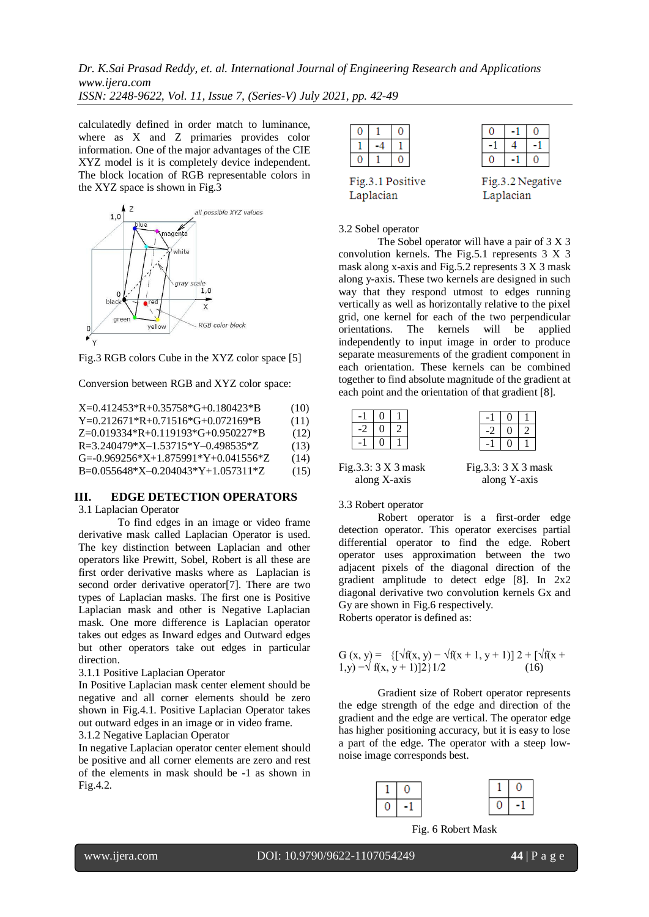calculatedly defined in order match to luminance, where as X and Z primaries provides color information. One of the major advantages of the CIE XYZ model is it is completely device independent. The block location of RGB representable colors in the XYZ space is shown in Fig.3



Fig.3 RGB colors Cube in the XYZ color space [5]

Conversion between RGB and XYZ color space:

| $X=0.412453*R+0.35758*G+0.180423*R$              | (10) |
|--------------------------------------------------|------|
| $Y=0.212671*R+0.71516*G+0.072169*B$              | (11) |
| $Z=0.019334*R+0.119193*G+0.950227*B$             | (12) |
| $R = 3.240479*X - 1.53715*Y - 0.498535*Z$        | (13) |
| $G = 0.969256 * X + 1.875991 * Y + 0.041556 * Z$ | (14) |
| $B=0.055648*X=0.204043*Y+1.057311*Z$             | (15) |

### **III. EDGE DETECTION OPERATORS**

### 3.1 Laplacian Operator

To find edges in an image or video frame derivative mask called Laplacian Operator is used. The key distinction between Laplacian and other operators like Prewitt, Sobel, Robert is all these are first order derivative masks where as Laplacian is second order derivative operator[7]. There are two types of Laplacian masks. The first one is Positive Laplacian mask and other is Negative Laplacian mask. One more difference is Laplacian operator takes out edges as Inward edges and Outward edges but other operators take out edges in particular direction.

#### 3.1.1 Positive Laplacian Operator

In Positive Laplacian mask center element should be negative and all corner elements should be zero shown in Fig.4.1. Positive Laplacian Operator takes out outward edges in an image or in video frame. 3.1.2 Negative Laplacian Operator

In negative Laplacian operator center element should be positive and all corner elements are zero and rest of the elements in mask should be -1 as shown in Fig.4.2.

| Fig.3.1 Positive<br>Fig.3.2 Negative |  |  |  |  |  |  |  |  |
|--------------------------------------|--|--|--|--|--|--|--|--|
| Laplacian<br>Laplacian               |  |  |  |  |  |  |  |  |

#### 3.2 Sobel operator

The Sobel operator will have a pair of 3 X 3 convolution kernels. The Fig.5.1 represents 3 X 3 mask along x-axis and Fig.5.2 represents 3 X 3 mask along y-axis. These two kernels are designed in such way that they respond utmost to edges running vertically as well as horizontally relative to the pixel grid, one kernel for each of the two perpendicular orientations. The kernels will be applied independently to input image in order to produce separate measurements of the gradient component in each orientation. These kernels can be combined together to find absolute magnitude of the gradient at each point and the orientation of that gradient [8].

|        | $-1$   0 | $\overline{1}$ |  | $\vert 0 \vert$ | $\mathbf{1}$   |
|--------|----------|----------------|--|-----------------|----------------|
| $-2$ 1 |          |                |  | 0.              | $\overline{2}$ |
|        |          | $\mathbf{1}$   |  |                 |                |
|        |          |                |  |                 |                |

Fig.3.3: 3 X 3 mask Fig.3.3: 3 X 3 mask along X-axis along Y-axis

### 3.3 Robert operator

Robert operator is a first-order edge detection operator. This operator exercises partial differential operator to find the edge. Robert operator uses approximation between the two adjacent pixels of the diagonal direction of the gradient amplitude to detect edge [8]. In 2x2 diagonal derivative two convolution kernels Gx and Gy are shown in Fig.6 respectively.

Roberts operator is defined as:

G (x, y) = {
$$
\{\sqrt{f}(x, y) - \sqrt{f}(x + 1, y + 1)\}
$$
2 +  $\{\sqrt{f}(x + 1, y) - \sqrt{f}(x, y + 1)\}$ 2}  
1/2 (16)

Gradient size of Robert operator represents the edge strength of the edge and direction of the gradient and the edge are vertical. The operator edge has higher positioning accuracy, but it is easy to lose a part of the edge. The operator with a steep lownoise image corresponds best.



Fig. 6 Robert Mask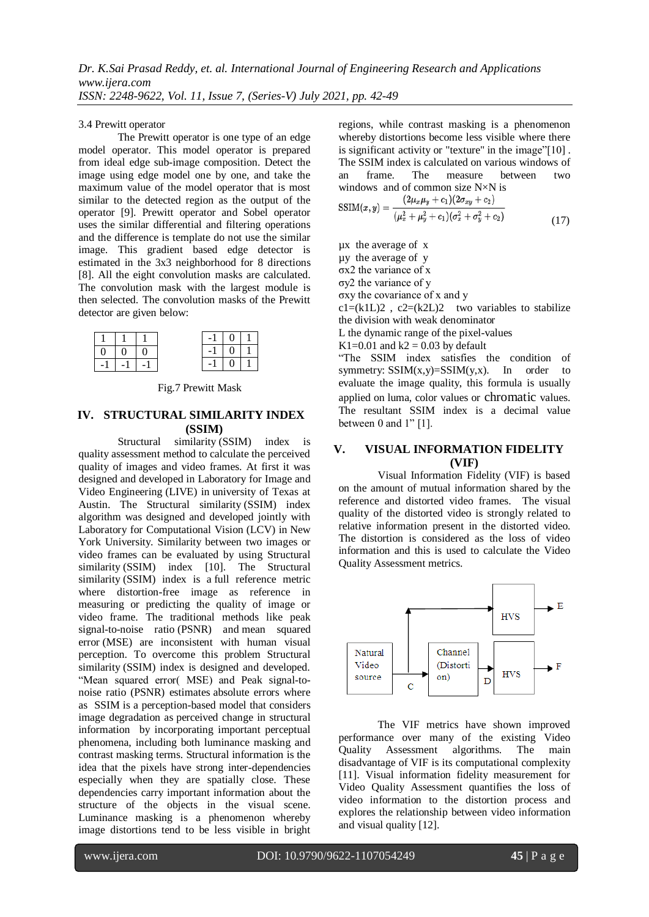### 3.4 Prewitt operator

The Prewitt operator is one type of an edge model operator. This model operator is prepared from ideal edge sub-image composition. Detect the image using edge model one by one, and take the maximum value of the model operator that is most similar to the detected region as the output of the operator [9]. Prewitt operator and Sobel operator uses the similar differential and filtering operations and the difference is template do not use the similar image. This gradient based edge detector is estimated in the 3x3 neighborhood for 8 directions [8]. All the eight convolution masks are calculated. The convolution mask with the largest module is then selected. The convolution masks of the Prewitt detector are given below:

|      |                |  | $-1$ |                                        |  |
|------|----------------|--|------|----------------------------------------|--|
|      | $\overline{0}$ |  | $-1$ | $\begin{array}{c c} 0 & 1 \end{array}$ |  |
| $-1$ | $-1$           |  |      | $\begin{array}{c} 0 \end{array}$       |  |

Fig.7 Prewitt Mask

### **IV. STRUCTURAL SIMILARITY INDEX (SSIM)**

Structural similarity (SSIM) index is quality assessment method to calculate the perceived quality of images and video frames. At first it was designed and developed in Laboratory for Image and Video Engineering (LIVE) in university of Texas at Austin. The Structural similarity (SSIM) index algorithm was designed and developed jointly with Laboratory for Computational Vision (LCV) in New York University. Similarity between two images or video frames can be evaluated by using Structural similarity (SSIM) index [10]. The Structural similarity (SSIM) index is a full reference metric where distortion-free image as reference in measuring or predicting the quality of image or video frame. The traditional methods like peak signal-to-noise ratio (PSNR) and mean squared error (MSE) are inconsistent with human visual perception. To overcome this problem Structural similarity (SSIM) index is designed and developed. "Mean squared error( MSE) and Peak signal-tonoise ratio (PSNR) estimates absolute errors where as SSIM is a perception-based model that considers image degradation as perceived change in structural information by incorporating important perceptual phenomena, including both luminance masking and contrast masking terms. Structural information is the idea that the pixels have strong inter-dependencies especially when they are spatially close. These dependencies carry important information about the structure of the objects in the visual scene. Luminance masking is a phenomenon whereby image distortions tend to be less visible in bright

regions, while contrast masking is a phenomenon whereby distortions become less visible where there is significant activity or "texture" in the image"[10] . The SSIM index is calculated on various windows of an frame. The measure between two windows and of common size N×N is

$$
SSIM(x,y) = \frac{(2\mu_x\mu_y + c_1)(2\sigma_{xy} + c_2)}{(\mu_x^2 + \mu_y^2 + c_1)(\sigma_x^2 + \sigma_y^2 + c_2)}
$$
(17)

µx the average of x

µy the average of y

σx2 the variance of x

σy2 the variance of y

σxy the covariance of x and y

 $c1 = (k1L)2$ ,  $c2 = (k2L)2$  two variables to stabilize the division with weak denominator

L the dynamic range of the pixel-values

K1=0.01 and  $k2 = 0.03$  by default

"The SSIM index satisfies the condition of symmetry:  $SSIM(x,y)=SSIM(y,x)$ . In order to evaluate the image quality, this formula is usually applied on luma, color values or chromatic values. The resultant SSIM index is a decimal value between 0 and 1" [1].

# **V. VISUAL INFORMATION FIDELITY (VIF)**

Visual Information Fidelity (VIF) is based on the amount of mutual information shared by the reference and distorted video frames. The visual quality of the distorted video is strongly related to relative information present in the distorted video. The distortion is considered as the loss of video information and this is used to calculate the Video Quality Assessment metrics.



The VIF metrics have shown improved performance over many of the existing Video Quality Assessment algorithms. The main disadvantage of VIF is its computational complexity [11]. Visual information fidelity measurement for Video Quality Assessment quantifies the loss of video information to the distortion process and explores the relationship between video information and visual quality [12].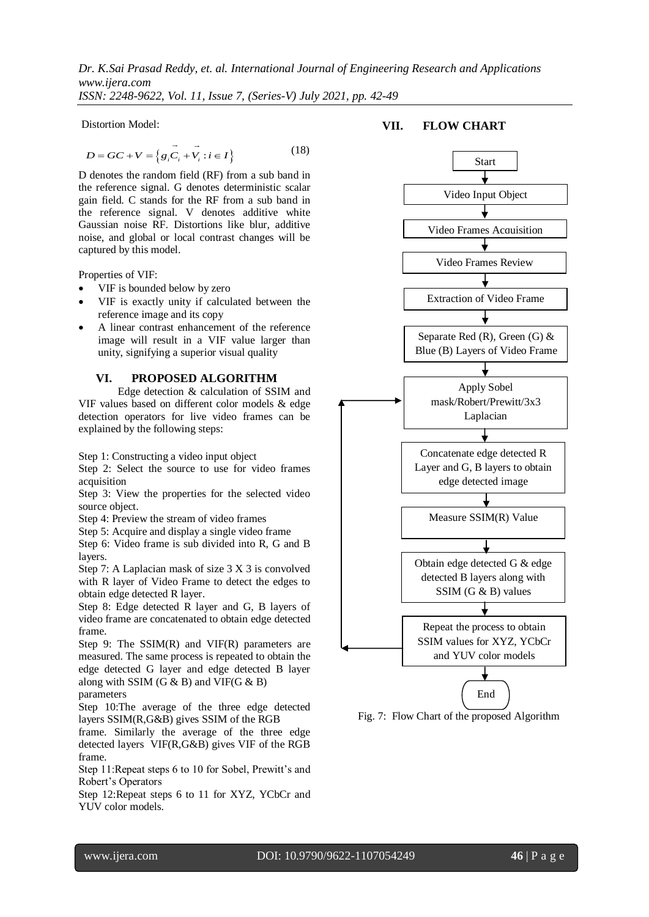*Dr. K.Sai Prasad Reddy, et. al. International Journal of Engineering Research and Applications www.ijera.com*

*ISSN: 2248-9622, Vol. 11, Issue 7, (Series-V) July 2021, pp. 42-49*

Distortion Model:

$$
D = GC + V = \{g_i \vec{C}_i + \vec{V}_i : i \in I\}
$$
 (18)

D denotes the random field (RF) from a sub band in the reference signal. G denotes deterministic scalar gain field. C stands for the RF from a sub band in the reference signal. V denotes additive white Gaussian noise RF. Distortions like blur, additive noise, and global or local contrast changes will be captured by this model.

Properties of VIF:

- VIF is bounded below by zero
- VIF is exactly unity if calculated between the reference image and its copy
- A linear contrast enhancement of the reference image will result in a VIF value larger than unity, signifying a superior visual quality

### **VI. PROPOSED ALGORITHM**

Edge detection & calculation of SSIM and VIF values based on different color models & edge detection operators for live video frames can be explained by the following steps:

Step 1: Constructing a video input object

Step 2: Select the source to use for video frames acquisition

Step 3: View the properties for the selected video source object.

Step 4: Preview the stream of video frames

Step 5: Acquire and display a single video frame

Step 6: Video frame is sub divided into R, G and B layers.

Step 7: A Laplacian mask of size 3 X 3 is convolved with R layer of Video Frame to detect the edges to obtain edge detected R layer.

Step 8: Edge detected R layer and G, B layers of video frame are concatenated to obtain edge detected frame.

Step 9: The SSIM(R) and VIF(R) parameters are measured. The same process is repeated to obtain the edge detected G layer and edge detected B layer along with SSIM  $(G & B)$  and VIF( $G & B$ )

# parameters

Step 10:The average of the three edge detected layers SSIM(R,G&B) gives SSIM of the RGB

frame. Similarly the average of the three edge detected layers VIF(R,G&B) gives VIF of the RGB frame.

Step 11:Repeat steps 6 to 10 for Sobel, Prewitt's and Robert's Operators

Step 12:Repeat steps 6 to 11 for XYZ, YCbCr and YUV color models.



**VII. FLOW CHART**

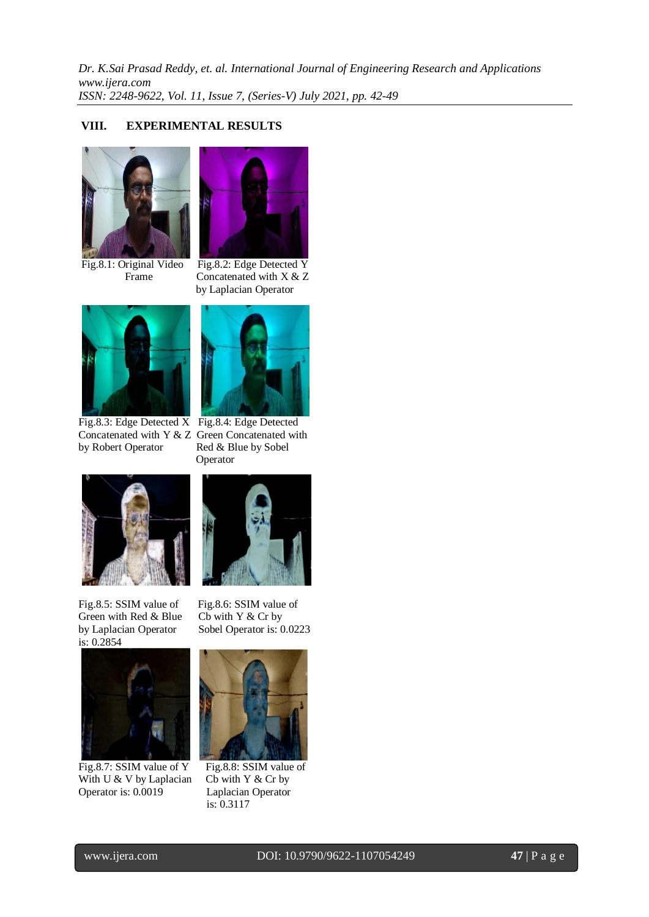# **VIII. EXPERIMENTAL RESULTS**



Fig.8.1: Original Video Fig.8.2: Edge Detected Y



Frame Concatenated with X & Z by Laplacian Operator



Fig.8.3: Edge Detected X Fig.8.4: Edge Detected Concatenated with Y & Z Green Concatenated with<br>by Robert Operator Red & Blue by Sobel



Red & Blue by Sobel Operator



Fig.8.5: SSIM value of Fig.8.6: SSIM value of Green with Red  $&$  Blue Cb with Y  $&$  Cr by by Laplacian Operator Sobel Operator is: 0.0223 is: 0.2854



Fig.8.7: SSIM value of Y Fig.8.8: SSIM value of With U & V by Laplacian Cb with Y & Cr by Operator is: 0.0019 Laplacian Operator



is: 0.3117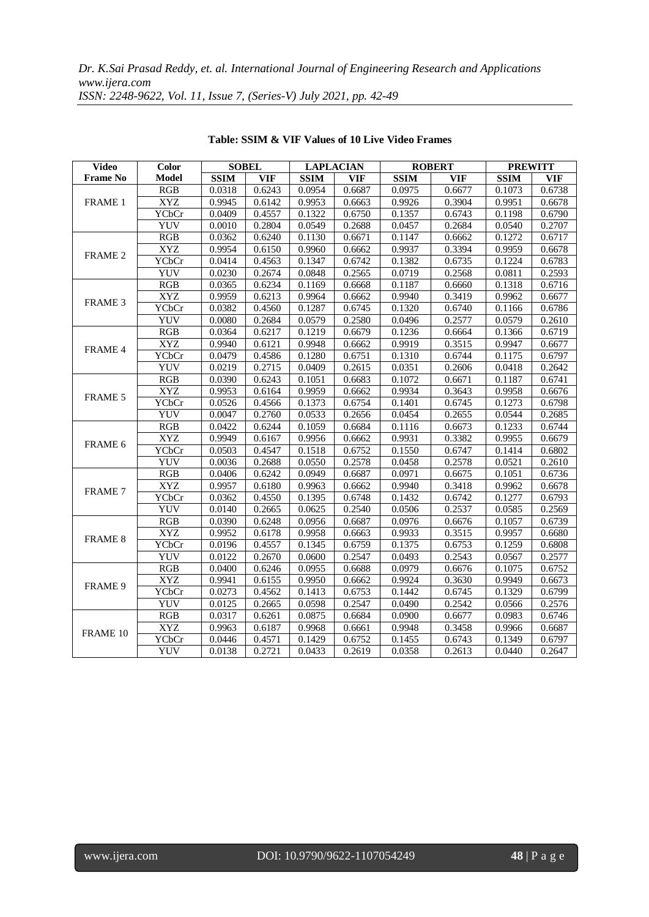| <b>Video</b>    | Color        | <b>SOBEL</b><br><b>LAPLACIAN</b><br><b>ROBERT</b> |            | <b>PREWITT</b> |            |             |            |             |            |
|-----------------|--------------|---------------------------------------------------|------------|----------------|------------|-------------|------------|-------------|------------|
| <b>Frame No</b> | <b>Model</b> | <b>SSIM</b>                                       | <b>VIF</b> | <b>SSIM</b>    | <b>VIF</b> | <b>SSIM</b> | <b>VIF</b> | <b>SSIM</b> | <b>VIF</b> |
|                 | RGB          | 0.0318                                            | 0.6243     | 0.0954         | 0.6687     | 0.0975      | 0.6677     | 0.1073      | 0.6738     |
| FRAME 1         | <b>XYZ</b>   | 0.9945                                            | 0.6142     | 0.9953         | 0.6663     | 0.9926      | 0.3904     | 0.9951      | 0.6678     |
|                 | YCbCr        | 0.0409                                            | 0.4557     | 0.1322         | 0.6750     | 0.1357      | 0.6743     | 0.1198      | 0.6790     |
|                 | YUV          | 0.0010                                            | 0.2804     | 0.0549         | 0.2688     | 0.0457      | 0.2684     | 0.0540      | 0.2707     |
|                 | RGB          | 0.0362                                            | 0.6240     | 0.1130         | 0.6671     | 0.1147      | 0.6662     | 0.1272      | 0.6717     |
| FRAME 2         | <b>XYZ</b>   | 0.9954                                            | 0.6150     | 0.9960         | 0.6662     | 0.9937      | 0.3394     | 0.9959      | 0.6678     |
|                 | YCbCr        | 0.0414                                            | 0.4563     | 0.1347         | 0.6742     | 0.1382      | 0.6735     | 0.1224      | 0.6783     |
|                 | <b>YUV</b>   | 0.0230                                            | 0.2674     | 0.0848         | 0.2565     | 0.0719      | 0.2568     | 0.0811      | 0.2593     |
|                 | <b>RGB</b>   | 0.0365                                            | 0.6234     | 0.1169         | 0.6668     | 0.1187      | 0.6660     | 0.1318      | 0.6716     |
| FRAME 3         | <b>XYZ</b>   | 0.9959                                            | 0.6213     | 0.9964         | 0.6662     | 0.9940      | 0.3419     | 0.9962      | 0.6677     |
|                 | <b>YCbCr</b> | 0.0382                                            | 0.4560     | 0.1287         | 0.6745     | 0.1320      | 0.6740     | 0.1166      | 0.6786     |
|                 | YUV          | 0.0080                                            | 0.2684     | 0.0579         | 0.2580     | 0.0496      | 0.2577     | 0.0579      | 0.2610     |
|                 | RGB          | 0.0364                                            | 0.6217     | 0.1219         | 0.6679     | 0.1236      | 0.6664     | 0.1366      | 0.6719     |
| <b>FRAME 4</b>  | <b>XYZ</b>   | 0.9940                                            | 0.6121     | 0.9948         | 0.6662     | 0.9919      | 0.3515     | 0.9947      | 0.6677     |
|                 | <b>YCbCr</b> | 0.0479                                            | 0.4586     | 0.1280         | 0.6751     | 0.1310      | 0.6744     | 0.1175      | 0.6797     |
|                 | <b>YUV</b>   | 0.0219                                            | 0.2715     | 0.0409         | 0.2615     | 0.0351      | 0.2606     | 0.0418      | 0.2642     |
|                 | RGB          | 0.0390                                            | 0.6243     | 0.1051         | 0.6683     | 0.1072      | 0.6671     | 0.1187      | 0.6741     |
| <b>FRAME 5</b>  | <b>XYZ</b>   | 0.9953                                            | 0.6164     | 0.9959         | 0.6662     | 0.9934      | 0.3643     | 0.9958      | 0.6676     |
|                 | <b>YCbCr</b> | 0.0526                                            | 0.4566     | 0.1373         | 0.6754     | 0.1401      | 0.6745     | 0.1273      | 0.6798     |
|                 | <b>YUV</b>   | 0.0047                                            | 0.2760     | 0.0533         | 0.2656     | 0.0454      | 0.2655     | 0.0544      | 0.2685     |
|                 | <b>RGB</b>   | 0.0422                                            | 0.6244     | 0.1059         | 0.6684     | 0.1116      | 0.6673     | 0.1233      | 0.6744     |
| FRAME 6         | <b>XYZ</b>   | 0.9949                                            | 0.6167     | 0.9956         | 0.6662     | 0.9931      | 0.3382     | 0.9955      | 0.6679     |
|                 | <b>YCbCr</b> | 0.0503                                            | 0.4547     | 0.1518         | 0.6752     | 0.1550      | 0.6747     | 0.1414      | 0.6802     |
|                 | <b>YUV</b>   | 0.0036                                            | 0.2688     | 0.0550         | 0.2578     | 0.0458      | 0.2578     | 0.0521      | 0.2610     |
| <b>FRAME 7</b>  | <b>RGB</b>   | 0.0406                                            | 0.6242     | 0.0949         | 0.6687     | 0.0971      | 0.6675     | 0.1051      | 0.6736     |
|                 | <b>XYZ</b>   | 0.9957                                            | 0.6180     | 0.9963         | 0.6662     | 0.9940      | 0.3418     | 0.9962      | 0.6678     |
|                 | <b>YCbCr</b> | 0.0362                                            | 0.4550     | 0.1395         | 0.6748     | 0.1432      | 0.6742     | 0.1277      | 0.6793     |
|                 | <b>YUV</b>   | 0.0140                                            | 0.2665     | 0.0625         | 0.2540     | 0.0506      | 0.2537     | 0.0585      | 0.2569     |
|                 | <b>RGB</b>   | 0.0390                                            | 0.6248     | 0.0956         | 0.6687     | 0.0976      | 0.6676     | 0.1057      | 0.6739     |
| <b>FRAME 8</b>  | <b>XYZ</b>   | 0.9952                                            | 0.6178     | 0.9958         | 0.6663     | 0.9933      | 0.3515     | 0.9957      | 0.6680     |
|                 | <b>YCbCr</b> | 0.0196                                            | 0.4557     | 0.1345         | 0.6759     | 0.1375      | 0.6753     | 0.1259      | 0.6808     |
|                 | <b>YUV</b>   | 0.0122                                            | 0.2670     | 0.0600         | 0.2547     | 0.0493      | 0.2543     | 0.0567      | 0.2577     |
|                 | RGB          | 0.0400                                            | 0.6246     | 0.0955         | 0.6688     | 0.0979      | 0.6676     | 0.1075      | 0.6752     |
| FRAME 9         | <b>XYZ</b>   | 0.9941                                            | 0.6155     | 0.9950         | 0.6662     | 0.9924      | 0.3630     | 0.9949      | 0.6673     |
|                 | <b>YCbCr</b> | 0.0273                                            | 0.4562     | 0.1413         | 0.6753     | 0.1442      | 0.6745     | 0.1329      | 0.6799     |
|                 | YUV          | 0.0125                                            | 0.2665     | 0.0598         | 0.2547     | 0.0490      | 0.2542     | 0.0566      | 0.2576     |
|                 | RGB          | 0.0317                                            | 0.6261     | 0.0875         | 0.6684     | 0.0900      | 0.6677     | 0.0983      | 0.6746     |
| FRAME 10        | <b>XYZ</b>   | 0.9963                                            | 0.6187     | 0.9968         | 0.6661     | 0.9948      | 0.3458     | 0.9966      | 0.6687     |
|                 | YCbCr        | 0.0446                                            | 0.4571     | 0.1429         | 0.6752     | 0.1455      | 0.6743     | 0.1349      | 0.6797     |
|                 | YUV          | 0.0138                                            | 0.2721     | 0.0433         | 0.2619     | 0.0358      | 0.2613     | 0.0440      | 0.2647     |

**Table: SSIM & VIF Values of 10 Live Video Frames**